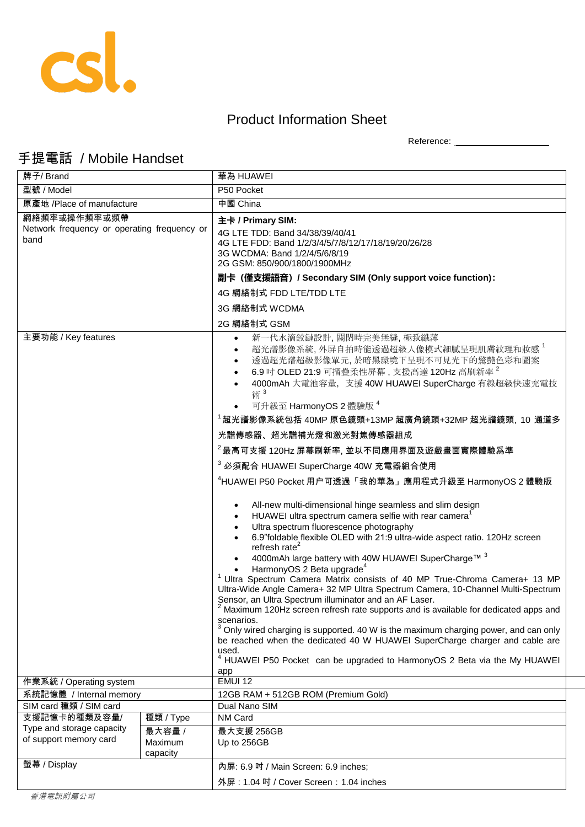

## Product Information Sheet

Reference: \_\_\_\_\_\_\_\_\_\_\_\_\_\_\_\_\_\_\_\_

## 手提電話 / Mobile Handset

| 牌子/ Brand                                           |                     | 華為 HUAWEI                                                                                                                                                                                                                                                                                                                                                                                                                                                                                                                                                                                                                                                                                                                                                                                                                                                                                                                                                                             |
|-----------------------------------------------------|---------------------|---------------------------------------------------------------------------------------------------------------------------------------------------------------------------------------------------------------------------------------------------------------------------------------------------------------------------------------------------------------------------------------------------------------------------------------------------------------------------------------------------------------------------------------------------------------------------------------------------------------------------------------------------------------------------------------------------------------------------------------------------------------------------------------------------------------------------------------------------------------------------------------------------------------------------------------------------------------------------------------|
| 型號 / Model                                          |                     | P50 Pocket                                                                                                                                                                                                                                                                                                                                                                                                                                                                                                                                                                                                                                                                                                                                                                                                                                                                                                                                                                            |
| 原產地 /Place of manufacture                           |                     | 中國 China                                                                                                                                                                                                                                                                                                                                                                                                                                                                                                                                                                                                                                                                                                                                                                                                                                                                                                                                                                              |
| 網絡頻率或操作頻率或頻帶                                        |                     | 主卡 / Primary SIM:                                                                                                                                                                                                                                                                                                                                                                                                                                                                                                                                                                                                                                                                                                                                                                                                                                                                                                                                                                     |
| Network frequency or operating frequency or<br>band |                     | 4G LTE TDD: Band 34/38/39/40/41<br>4G LTE FDD: Band 1/2/3/4/5/7/8/12/17/18/19/20/26/28<br>3G WCDMA: Band 1/2/4/5/6/8/19<br>2G GSM: 850/900/1800/1900MHz                                                                                                                                                                                                                                                                                                                                                                                                                                                                                                                                                                                                                                                                                                                                                                                                                               |
|                                                     |                     | 副卡 (僅支援語音) / Secondary SIM (Only support voice function):                                                                                                                                                                                                                                                                                                                                                                                                                                                                                                                                                                                                                                                                                                                                                                                                                                                                                                                             |
|                                                     |                     | 4G 網絡制式 FDD LTE/TDD LTE                                                                                                                                                                                                                                                                                                                                                                                                                                                                                                                                                                                                                                                                                                                                                                                                                                                                                                                                                               |
|                                                     |                     | 3G 網絡制式 WCDMA                                                                                                                                                                                                                                                                                                                                                                                                                                                                                                                                                                                                                                                                                                                                                                                                                                                                                                                                                                         |
|                                                     |                     | 2G 網絡制式 GSM                                                                                                                                                                                                                                                                                                                                                                                                                                                                                                                                                                                                                                                                                                                                                                                                                                                                                                                                                                           |
| 主要功能 / Key features                                 |                     | 新一代水滴鉸鏈設計,關閉時完美無縫,極致纖薄<br>超光譜影像系統,外屏自拍時能透過超級人像模式細膩呈現肌膚紋理和妝感 <sup>1</sup><br>٠<br>透過超光譜超級影像單元,於暗黑環境下呈現不可見光下的驚艷色彩和圖案<br>$\bullet$<br>6.9 吋 OLED 21:9 可摺疊柔性屏幕, 支援高達 120Hz 高刷新率 <sup>2</sup><br>4000mAh 大電池容量, 支援 40W HUAWEI SuperCharge 有線超級快速充電技<br>術3<br>可升級至 HarmonyOS 2 體驗版 4<br><sup>1</sup> 超光譜影像系統包括 40MP 原色鏡頭+13MP 超廣角鏡頭+32MP 超光譜鏡頭, 10 通道多                                                                                                                                                                                                                                                                                                                                                                                                                                                                                                                                                                                                                                      |
|                                                     |                     |                                                                                                                                                                                                                                                                                                                                                                                                                                                                                                                                                                                                                                                                                                                                                                                                                                                                                                                                                                                       |
|                                                     |                     | 光譜傳感器、超光譜補光燈和激光對焦傳感器組成                                                                                                                                                                                                                                                                                                                                                                                                                                                                                                                                                                                                                                                                                                                                                                                                                                                                                                                                                                |
|                                                     |                     | $2$ 最高可支援 120Hz 屏幕刷新率, 並以不同應用界面及遊戲畫面實際體驗爲準                                                                                                                                                                                                                                                                                                                                                                                                                                                                                                                                                                                                                                                                                                                                                                                                                                                                                                                                            |
|                                                     |                     | <sup>3</sup> 必須配合 HUAWEI SuperCharge 40W 充電器組合使用                                                                                                                                                                                                                                                                                                                                                                                                                                                                                                                                                                                                                                                                                                                                                                                                                                                                                                                                      |
|                                                     |                     | <sup>4</sup> HUAWEI P50 Pocket 用户可透過「我的華為」應用程式升級至 HarmonyOS 2 體驗版                                                                                                                                                                                                                                                                                                                                                                                                                                                                                                                                                                                                                                                                                                                                                                                                                                                                                                                     |
|                                                     |                     | All-new multi-dimensional hinge seamless and slim design<br>HUAWEI ultra spectrum camera selfie with rear camera <sup>1</sup><br>Ultra spectrum fluorescence photography<br>6.9"foldable flexible OLED with 21:9 ultra-wide aspect ratio. 120Hz screen<br>refresh rate $2$<br>4000mAh large battery with 40W HUAWEI SuperCharge™ 3<br>HarmonyOS 2 Beta upgrade <sup>4</sup><br>Ultra Spectrum Camera Matrix consists of 40 MP True-Chroma Camera+ 13 MP<br>Ultra-Wide Angle Camera+ 32 MP Ultra Spectrum Camera, 10-Channel Multi-Spectrum<br>Sensor, an Ultra Spectrum illuminator and an AF Laser.<br><sup>2</sup> Maximum 120Hz screen refresh rate supports and is available for dedicated apps and<br>scenarios.<br>Only wired charging is supported. 40 W is the maximum charging power, and can only<br>be reached when the dedicated 40 W HUAWEI SuperCharge charger and cable are<br>used.<br>HUAWEI P50 Pocket can be upgraded to HarmonyOS 2 Beta via the My HUAWEI<br>app |
| 作業系統 / Operating system                             |                     | <b>EMUI 12</b>                                                                                                                                                                                                                                                                                                                                                                                                                                                                                                                                                                                                                                                                                                                                                                                                                                                                                                                                                                        |
| 系統記憶體 / Internal memory                             |                     | 12GB RAM + 512GB ROM (Premium Gold)                                                                                                                                                                                                                                                                                                                                                                                                                                                                                                                                                                                                                                                                                                                                                                                                                                                                                                                                                   |
| SIM card 種類 / SIM card<br>支援記憶卡的種類及容量/              | 種類 / Type           | Dual Nano SIM<br>NM Card                                                                                                                                                                                                                                                                                                                                                                                                                                                                                                                                                                                                                                                                                                                                                                                                                                                                                                                                                              |
| Type and storage capacity<br>of support memory card | 最大容量 /              | 最大支援 256GB                                                                                                                                                                                                                                                                                                                                                                                                                                                                                                                                                                                                                                                                                                                                                                                                                                                                                                                                                                            |
|                                                     | Maximum<br>capacity | Up to 256GB                                                                                                                                                                                                                                                                                                                                                                                                                                                                                                                                                                                                                                                                                                                                                                                                                                                                                                                                                                           |
| 螢幕 / Display                                        |                     | 內屏: 6.9 吋 / Main Screen: 6.9 inches;                                                                                                                                                                                                                                                                                                                                                                                                                                                                                                                                                                                                                                                                                                                                                                                                                                                                                                                                                  |
|                                                     |                     | 外屏: 1.04 吋 / Cover Screen: 1.04 inches                                                                                                                                                                                                                                                                                                                                                                                                                                                                                                                                                                                                                                                                                                                                                                                                                                                                                                                                                |